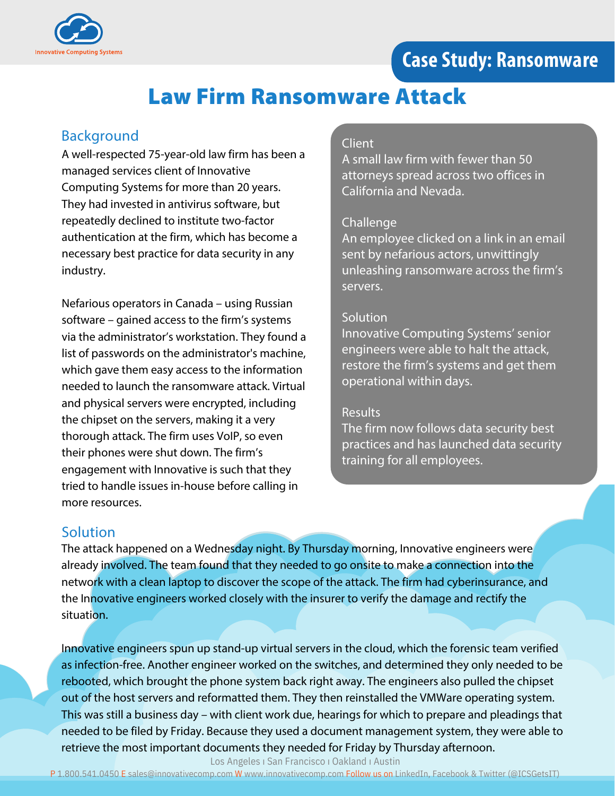



# Law Firm Ransomware Attack

## Background

A well-respected 75-year-old law firm has been a managed services client of Innovative Computing Systems for more than 20 years. They had invested in antivirus software, but repeatedly declined to institute two-factor authentication at the firm, which has become a necessary best practice for data security in any industry.

Nefarious operators in Canada – using Russian software – gained access to the firm's systems via the administrator's workstation. They found a list of passwords on the administrator's machine, which gave them easy access to the information needed to launch the ransomware attack. Virtual and physical servers were encrypted, including the chipset on the servers, making it a very thorough attack. The firm uses VoIP, so even their phones were shut down. The firm's engagement with Innovative is such that they tried to handle issues in-house before calling in more resources.

#### Client

A small law firm with fewer than 50 attorneys spread across two offices in California and Nevada.

#### Challenge

An employee clicked on a link in an email sent by nefarious actors, unwittingly unleashing ransomware across the firm's servers.

#### **Solution**

Innovative Computing Systems' senior engineers were able to halt the attack, restore the firm's systems and get them operational within days.

#### **Results**

The firm now follows data security best practices and has launched data security training for all employees.

## **Solution**

The attack happened on a Wednesday night. By Thursday morning, Innovative engineers were already involved. The team found that they needed to go onsite to make a connection into the network with a clean laptop to discover the scope of the attack. The firm had cyberinsurance, and the Innovative engineers worked closely with the insurer to verify the damage and rectify the situation.

Innovative engineers spun up stand-up virtual servers in the cloud, which the forensic team verified as infection-free. Another engineer worked on the switches, and determined they only needed to be rebooted, which brought the phone system back right away. The engineers also pulled the chipset out of the host servers and reformatted them. They then reinstalled the VMWare operating system. This was still a business day – with client work due, hearings for which to prepare and pleadings that needed to be filed by Friday. Because they used a document management system, they were able to retrieve the most important documents they needed for Friday by Thursday afternoon.

Los Angeles ı San Francisco ı Oakland ı Austin